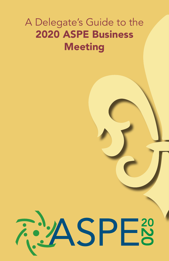## A Delegate's Guide to the 2020 ASPE Business Meeting

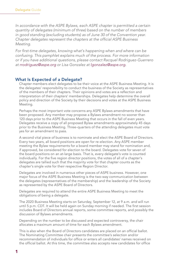*In accordance with the ASPE Bylaws, each ASPE chapter is permitted a certain quantity of delegates (minimum of three) based on the number of members in good standing (excluding students) as of June 30 of the Convention year.*  Chapter delegates represent the chapters at the official ASPE Business *Meeting.* 

For first-time delegates, knowing what's happening when and where can be *confusing. This pamphlet explains much of the process. For more information*  or if you have additional questions, please contact Racquel Rodriguez-Guerrero *at [rrodriguez@aspe.org](mailto:rrodriguez%40aspe.org?subject=)* or Lisa Gonzalez at *[lgonzalez@aspe.org.](mailto:lgonzalez%40aspe.org?subject=)*

## What Is Expected of a Delegate?

Chapter members elect delegates to be their voice at the ASPE Business Meeting. It is the delegates' responsibility to conduct the business of the Society as representatives of the members of their chapters. Their opinions and votes are a reflection and interpretation of their chapters' memberships. Delegates help determine the overall policy and direction of the Society by their decisions and votes at the ASPE Business Meeting.

Perhaps the most important vote concerns any ASPE Bylaws amendments that have been proposed. Any member may propose a Bylaws amendment no sooner than 120 days prior to the ASPE Business Meeting that occurs in the fall of even years. Delegates receive a copy of all proposed Bylaw amendments approximately 45 days prior to the Business Meeting. Three-quarters of the attending delegates must vote yes for an amendment to pass.

A second vital piece of business is to nominate and elect the ASPE Board of Directors. Every two years, all board positions are open for re-election. Any ASPE member meeting the Bylaw requirements for a board member may stand for nomination and, if approved, be considered for election to the board. Delegates vote for seven of the board positions on an at-large basis. That is, every delegate's vote is counted individually. For the five region director positions, the votes of all of a chapter's delegates are tallied such that the majority vote for that chapter counts as the chapter's single vote for their respective Region Director.

Delegates are involved in numerous other pieces of ASPE business. However, one major focus of the ASPE Business Meeting is the two-way communication between the delegates (representatives of the membership) and the leadership of the Society as represented by the ASPE Board of Directors.

Delegates are required to attend the entire ASPE Business Meeting to meet the obligations of being a delegate.

The 2020 Business Meeting starts on Saturday, September 12, at 9 a.m. and will run until 5 p.m. CDT. It will be held again on Sunday morning if needed. The first session includes Board of Directors annual reports, some committee reports, and possibly the discussion of Bylaws amendments.

Depending on the number to be discussed and expected controversy, the chair allocates a maximum amount of time for each Bylaws amendment.

This is also when the Board of Directors candidates are placed on an official ballot. The Nominating Committee chair presents the committee's selection and/or recommendation of individuals for office or enters all candidates' names received on the official ballot. At this time, the committee also accepts new candidates for office